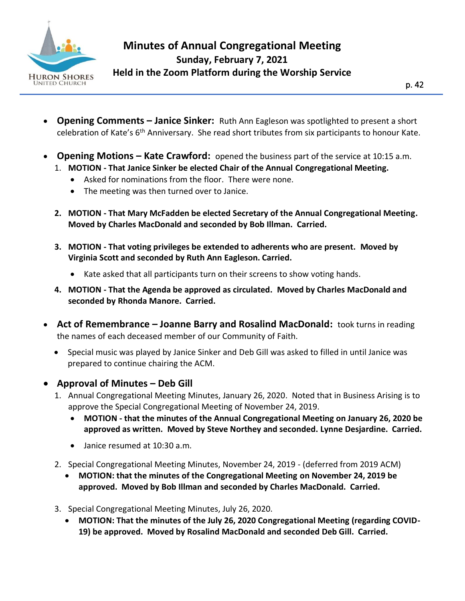

I

- **Opening Comments – Janice Sinker:** Ruth Ann Eagleson was spotlighted to present a short celebration of Kate's  $6<sup>th</sup>$  Anniversary. She read short tributes from six participants to honour Kate.
- **Opening Motions – Kate Crawford:** opened the business part of the service at 10:15 a.m.
	- 1. **MOTION - That Janice Sinker be elected Chair of the Annual Congregational Meeting.**
		- Asked for nominations from the floor. There were none.
		- The meeting was then turned over to Janice.
	- **2. MOTION - That Mary McFadden be elected Secretary of the Annual Congregational Meeting. Moved by Charles MacDonald and seconded by Bob Illman. Carried.**
	- **3. MOTION - That voting privileges be extended to adherents who are present. Moved by Virginia Scott and seconded by Ruth Ann Eagleson. Carried.**
		- Kate asked that all participants turn on their screens to show voting hands.
	- **4. MOTION - That the Agenda be approved as circulated. Moved by Charles MacDonald and seconded by Rhonda Manore. Carried.**
- **Act of Remembrance – Joanne Barry and Rosalind MacDonald:** took turns in reading the names of each deceased member of our Community of Faith.
	- Special music was played by Janice Sinker and Deb Gill was asked to filled in until Janice was prepared to continue chairing the ACM.
- **Approval of Minutes – Deb Gill**
	- 1. Annual Congregational Meeting Minutes, January 26, 2020. Noted that in Business Arising is to approve the Special Congregational Meeting of November 24, 2019.
		- **MOTION - that the minutes of the Annual Congregational Meeting on January 26, 2020 be approved as written. Moved by Steve Northey and seconded. Lynne Desjardine. Carried.**
		- Janice resumed at 10:30 a.m.
	- 2. Special Congregational Meeting Minutes, November 24, 2019 (deferred from 2019 ACM)
		- **MOTION: that the minutes of the Congregational Meeting on November 24, 2019 be approved. Moved by Bob Illman and seconded by Charles MacDonald. Carried.**
	- 3. Special Congregational Meeting Minutes, July 26, 2020.
		- **MOTION: That the minutes of the July 26, 2020 Congregational Meeting (regarding COVID-19) be approved. Moved by Rosalind MacDonald and seconded Deb Gill. Carried.**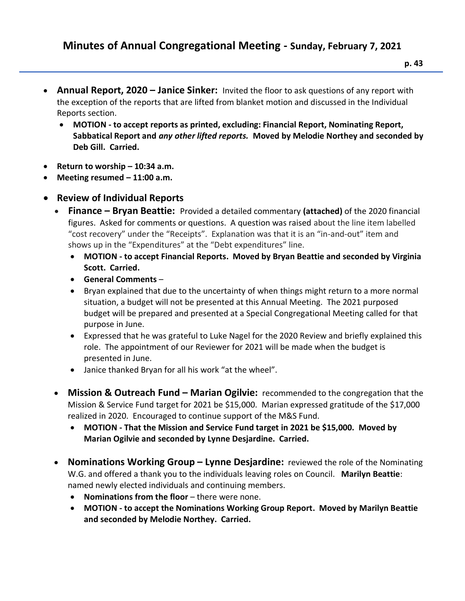- **p. 43**
- **Annual Report, 2020 – Janice Sinker:** Invited the floor to ask questions of any report with the exception of the reports that are lifted from blanket motion and discussed in the Individual Reports section.
	- **MOTION - to accept reports as printed, excluding: Financial Report, Nominating Report, Sabbatical Report and** *any other lifted reports.* **Moved by Melodie Northey and seconded by Deb Gill. Carried.**
- **Return to worship – 10:34 a.m.**
- **Meeting resumed – 11:00 a.m.**
- **Review of Individual Reports** 
	- **Finance – Bryan Beattie:** Provided a detailed commentary **(attached)** of the 2020 financial figures. Asked for comments or questions. A question was raised about the line item labelled "cost recovery" under the "Receipts". Explanation was that it is an "in-and-out" item and shows up in the "Expenditures" at the "Debt expenditures" line.
		- **MOTION - to accept Financial Reports. Moved by Bryan Beattie and seconded by Virginia Scott. Carried.**
		- **General Comments** –
		- Bryan explained that due to the uncertainty of when things might return to a more normal situation, a budget will not be presented at this Annual Meeting. The 2021 purposed budget will be prepared and presented at a Special Congregational Meeting called for that purpose in June.
		- Expressed that he was grateful to Luke Nagel for the 2020 Review and briefly explained this role. The appointment of our Reviewer for 2021 will be made when the budget is presented in June.
		- Janice thanked Bryan for all his work "at the wheel".
	- **Mission & Outreach Fund – Marian Ogilvie:** recommended to the congregation that the Mission & Service Fund target for 2021 be \$15,000. Marian expressed gratitude of the \$17,000 realized in 2020. Encouraged to continue support of the M&S Fund.
		- **MOTION - That the Mission and Service Fund target in 2021 be \$15,000. Moved by Marian Ogilvie and seconded by Lynne Desjardine. Carried.**
	- **Nominations Working Group – Lynne Desjardine:** reviewed the role of the Nominating W.G. and offered a thank you to the individuals leaving roles on Council. **Marilyn Beattie**: named newly elected individuals and continuing members.
		- **Nominations from the floor** there were none.
		- **MOTION - to accept the Nominations Working Group Report. Moved by Marilyn Beattie and seconded by Melodie Northey. Carried.**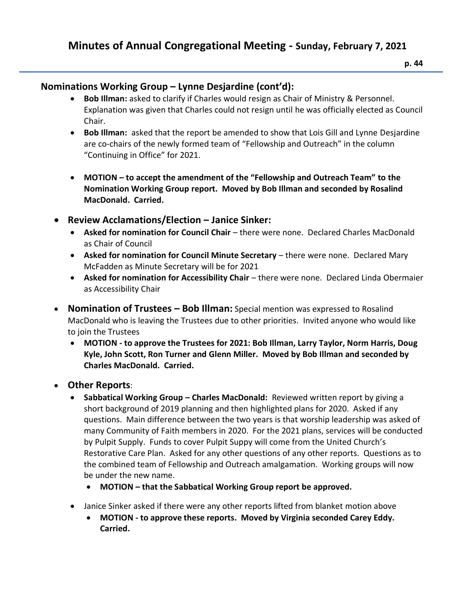## **Minutes of Annual Congregational Meeting - Sunday, February 7, 2021**

## **Nominations Working Group – Lynne Desjardine (cont'd):**

- **Bob Illman:** asked to clarify if Charles would resign as Chair of Ministry & Personnel. Explanation was given that Charles could not resign until he was officially elected as Council Chair.
- **Bob Illman:** asked that the report be amended to show that Lois Gill and Lynne Desjardine are co-chairs of the newly formed team of "Fellowship and Outreach" in the column "Continuing in Office" for 2021.
- **MOTION – to accept the amendment of the "Fellowship and Outreach Team" to the Nomination Working Group report. Moved by Bob Illman and seconded by Rosalind MacDonald. Carried.**
- **Review Acclamations/Election – Janice Sinker:**
	- **Asked for nomination for Council Chair** there were none. Declared Charles MacDonald as Chair of Council
	- **Asked for nomination for Council Minute Secretary** there were none. Declared Mary McFadden as Minute Secretary will be for 2021
	- **Asked for nomination for Accessibility Chair** there were none. Declared Linda Obermaier as Accessibility Chair
- **Nomination of Trustees – Bob Illman:** Special mention was expressed to Rosalind MacDonald who is leaving the Trustees due to other priorities. Invited anyone who would like to join the Trustees
	- **MOTION - to approve the Trustees for 2021: Bob Illman, Larry Taylor, Norm Harris, Doug Kyle, John Scott, Ron Turner and Glenn Miller. Moved by Bob Illman and seconded by Charles MacDonald. Carried.**
- **Other Reports**:
	- **Sabbatical Working Group – Charles MacDonald:** Reviewed written report by giving a short background of 2019 planning and then highlighted plans for 2020. Asked if any questions. Main difference between the two years is that worship leadership was asked of many Community of Faith members in 2020. For the 2021 plans, services will be conducted by Pulpit Supply. Funds to cover Pulpit Suppy will come from the United Church's Restorative Care Plan. Asked for any other questions of any other reports. Questions as to the combined team of Fellowship and Outreach amalgamation. Working groups will now be under the new name.
		- **MOTION – that the Sabbatical Working Group report be approved.**
	- Janice Sinker asked if there were any other reports lifted from blanket motion above
		- **MOTION - to approve these reports. Moved by Virginia seconded Carey Eddy. Carried.**